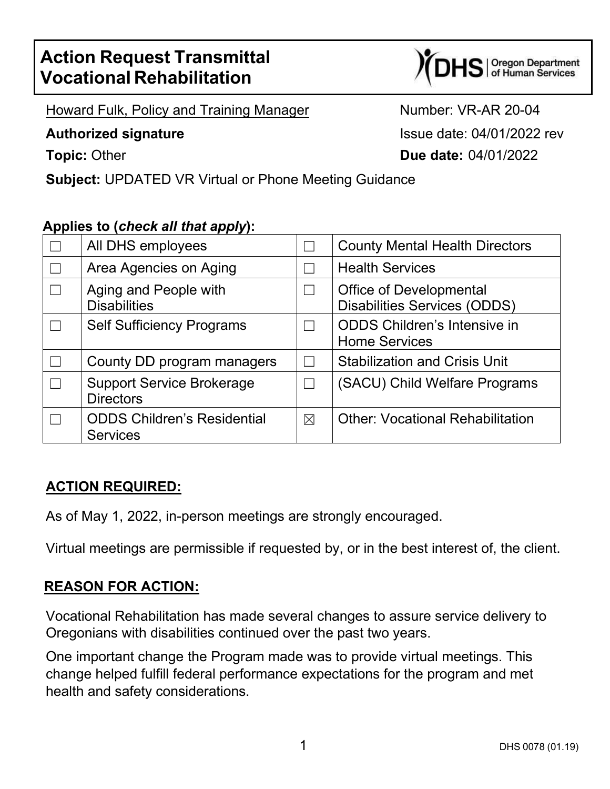# **Action Request Transmittal Vocational Rehabilitation**



Howard Fulk, Policy and Training Manager Number: VR-AR 20-04

**Authorized signature Authorized signature Issue date: 04/01/2022 rev Topic:** Other **Due date:** 04/01/2022

**Subject:** UPDATED VR Virtual or Phone Meeting Guidance

### **Applies to (***check all that apply***):**

| All DHS employees                                     |          | <b>County Mental Health Directors</b>                                 |
|-------------------------------------------------------|----------|-----------------------------------------------------------------------|
| Area Agencies on Aging                                |          | <b>Health Services</b>                                                |
| Aging and People with<br><b>Disabilities</b>          |          | <b>Office of Developmental</b><br><b>Disabilities Services (ODDS)</b> |
| <b>Self Sufficiency Programs</b>                      |          | <b>ODDS Children's Intensive in</b><br><b>Home Services</b>           |
| County DD program managers                            |          | <b>Stabilization and Crisis Unit</b>                                  |
| <b>Support Service Brokerage</b><br><b>Directors</b>  |          | (SACU) Child Welfare Programs                                         |
| <b>ODDS Children's Residential</b><br><b>Services</b> | $\times$ | <b>Other: Vocational Rehabilitation</b>                               |

### **ACTION REQUIRED:**

As of May 1, 2022, in-person meetings are strongly encouraged.

Virtual meetings are permissible if requested by, or in the best interest of, the client.

### **REASON FOR ACTION:**

Vocational Rehabilitation has made several changes to assure service delivery to Oregonians with disabilities continued over the past two years.

One important change the Program made was to provide virtual meetings. This change helped fulfill federal performance expectations for the program and met health and safety considerations.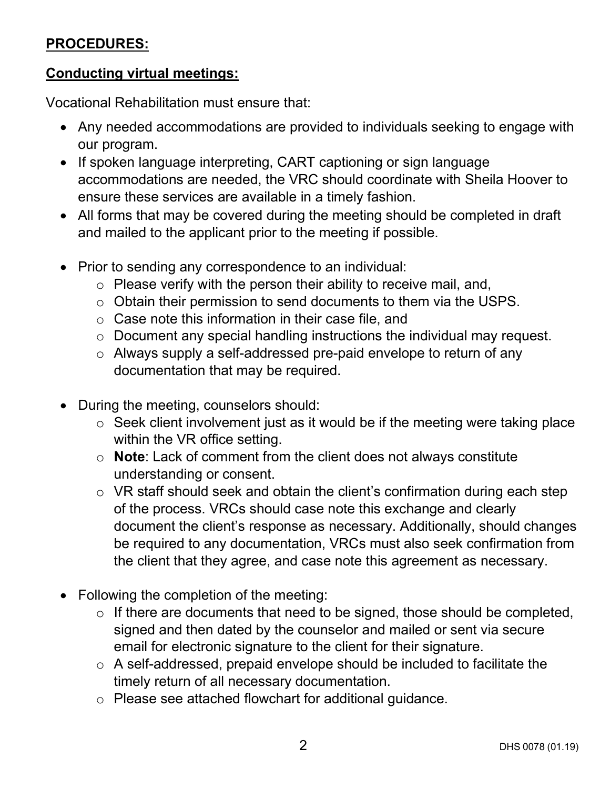# **PROCEDURES:**

#### **Conducting virtual meetings:**

Vocational Rehabilitation must ensure that:

- Any needed accommodations are provided to individuals seeking to engage with our program.
- If spoken language interpreting, CART captioning or sign language accommodations are needed, the VRC should coordinate with Sheila Hoover to ensure these services are available in a timely fashion.
- All forms that may be covered during the meeting should be completed in draft and mailed to the applicant prior to the meeting if possible.
- Prior to sending any correspondence to an individual:
	- $\circ$  Please verify with the person their ability to receive mail, and,
	- o Obtain their permission to send documents to them via the USPS.
	- o Case note this information in their case file, and
	- o Document any special handling instructions the individual may request.
	- o Always supply a self-addressed pre-paid envelope to return of any documentation that may be required.
- During the meeting, counselors should:
	- $\circ$  Seek client involvement just as it would be if the meeting were taking place within the VR office setting.
	- o **Note**: Lack of comment from the client does not always constitute understanding or consent.
	- o VR staff should seek and obtain the client's confirmation during each step of the process. VRCs should case note this exchange and clearly document the client's response as necessary. Additionally, should changes be required to any documentation, VRCs must also seek confirmation from the client that they agree, and case note this agreement as necessary.
- Following the completion of the meeting:
	- o If there are documents that need to be signed, those should be completed, signed and then dated by the counselor and mailed or sent via secure email for electronic signature to the client for their signature.
	- o A self-addressed, prepaid envelope should be included to facilitate the timely return of all necessary documentation.
	- o Please see attached flowchart for additional guidance.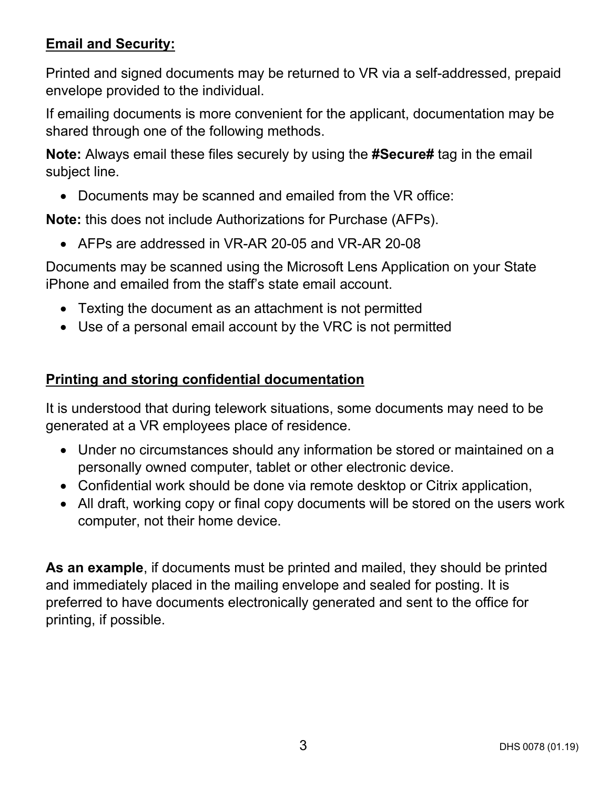# **Email and Security:**

Printed and signed documents may be returned to VR via a self-addressed, prepaid envelope provided to the individual.

If emailing documents is more convenient for the applicant, documentation may be shared through one of the following methods.

**Note:** Always email these files securely by using the **#Secure#** tag in the email subject line.

• Documents may be scanned and emailed from the VR office:

**Note:** this does not include Authorizations for Purchase (AFPs).

• AFPs are addressed in VR-AR 20-05 and VR-AR 20-08

Documents may be scanned using the Microsoft Lens Application on your State iPhone and emailed from the staff's state email account.

- Texting the document as an attachment is not permitted
- Use of a personal email account by the VRC is not permitted

# **Printing and storing confidential documentation**

It is understood that during telework situations, some documents may need to be generated at a VR employees place of residence.

- Under no circumstances should any information be stored or maintained on a personally owned computer, tablet or other electronic device.
- Confidential work should be done via remote desktop or Citrix application,
- All draft, working copy or final copy documents will be stored on the users work computer, not their home device.

**As an example**, if documents must be printed and mailed, they should be printed and immediately placed in the mailing envelope and sealed for posting. It is preferred to have documents electronically generated and sent to the office for printing, if possible.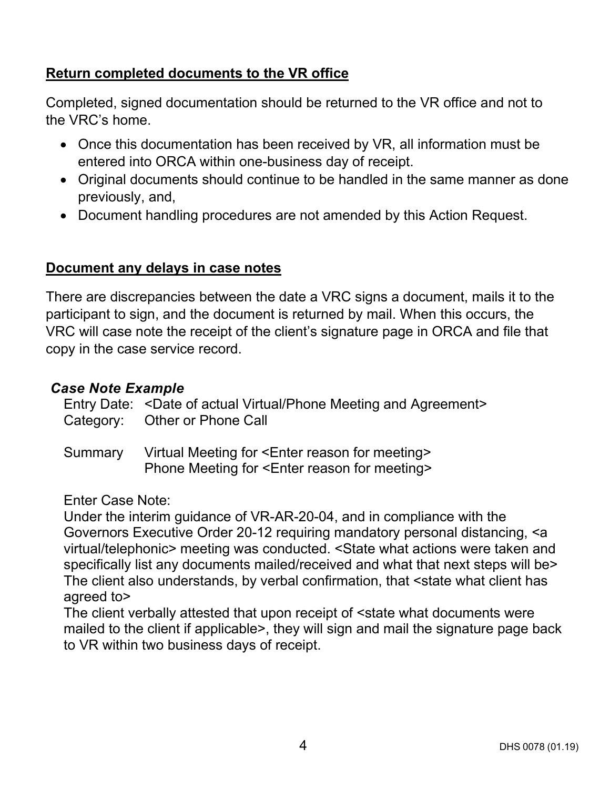# **Return completed documents to the VR office**

Completed, signed documentation should be returned to the VR office and not to the VRC's home.

- Once this documentation has been received by VR, all information must be entered into ORCA within one-business day of receipt.
- Original documents should continue to be handled in the same manner as done previously, and,
- Document handling procedures are not amended by this Action Request.

#### **Document any delays in case notes**

There are discrepancies between the date a VRC signs a document, mails it to the participant to sign, and the document is returned by mail. When this occurs, the VRC will case note the receipt of the client's signature page in ORCA and file that copy in the case service record.

#### *Case Note Example*

| Entry Date: < Date of actual Virtual/Phone Meeting and Agreement><br>Category: Other or Phone Call |
|----------------------------------------------------------------------------------------------------|
| Summary Virtual Meeting for <enter for="" meeting="" reason=""></enter>                            |

Phone Meeting for <Enter reason for meeting>

Enter Case Note:

Under the interim guidance of VR-AR-20-04, and in compliance with the Governors Executive Order 20-12 requiring mandatory personal distancing, <a virtual/telephonic> meeting was conducted. <State what actions were taken and specifically list any documents mailed/received and what that next steps will be> The client also understands, by verbal confirmation, that <state what client has agreed to>

The client verbally attested that upon receipt of <state what documents were mailed to the client if applicable>, they will sign and mail the signature page back to VR within two business days of receipt.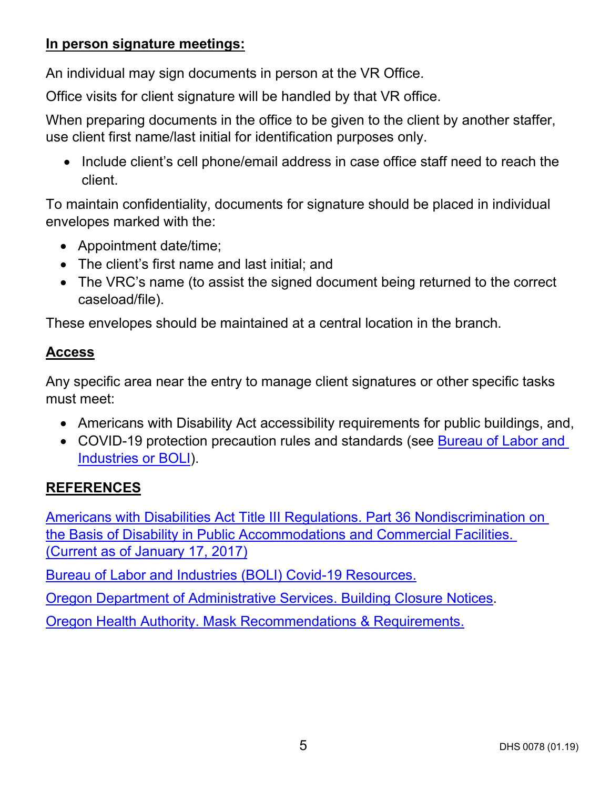#### **In person signature meetings:**

An individual may sign documents in person at the VR Office.

Office visits for client signature will be handled by that VR office.

When preparing documents in the office to be given to the client by another staffer, use client first name/last initial for identification purposes only.

• Include client's cell phone/email address in case office staff need to reach the client.

To maintain confidentiality, documents for signature should be placed in individual envelopes marked with the:

- Appointment date/time;
- The client's first name and last initial; and
- The VRC's name (to assist the signed document being returned to the correct caseload/file).

These envelopes should be maintained at a central location in the branch.

# **Access**

Any specific area near the entry to manage client signatures or other specific tasks must meet:

- Americans with Disability Act accessibility requirements for public buildings, and,
- COVID-19 protection precaution rules and standards (see [Bureau of Labor and](#page-4-0)  [Industries or BOLI\)](#page-4-0).

# <span id="page-4-0"></span>**REFERENCES**

[Americans with Disabilities Act Title III Regulations. Part 36 Nondiscrimination on](https://www.ada.gov/regs2010/titleIII_2010/titleIII_2010_regulations.htm#asubpartb)  [the Basis of Disability in Public Accommodations and Commercial Facilities.](https://www.ada.gov/regs2010/titleIII_2010/titleIII_2010_regulations.htm#asubpartb)  [\(Current as of January 17, 2017\)](https://www.ada.gov/regs2010/titleIII_2010/titleIII_2010_regulations.htm#asubpartb)

[Bureau of Labor and Industries \(BOLI\) Covid-19 Resources.](https://www.oregon.gov/boli/employers/Pages/COVID-19-resources.aspx)

[Oregon Department of Administrative Services. Building Closure Notices.](https://www.oregon.gov/das/pages/buildingclosure.aspx)

[Oregon Health Authority. Mask Recommendations & Requirements.](https://govstatus.egov.com/or-oha-face-coverings)